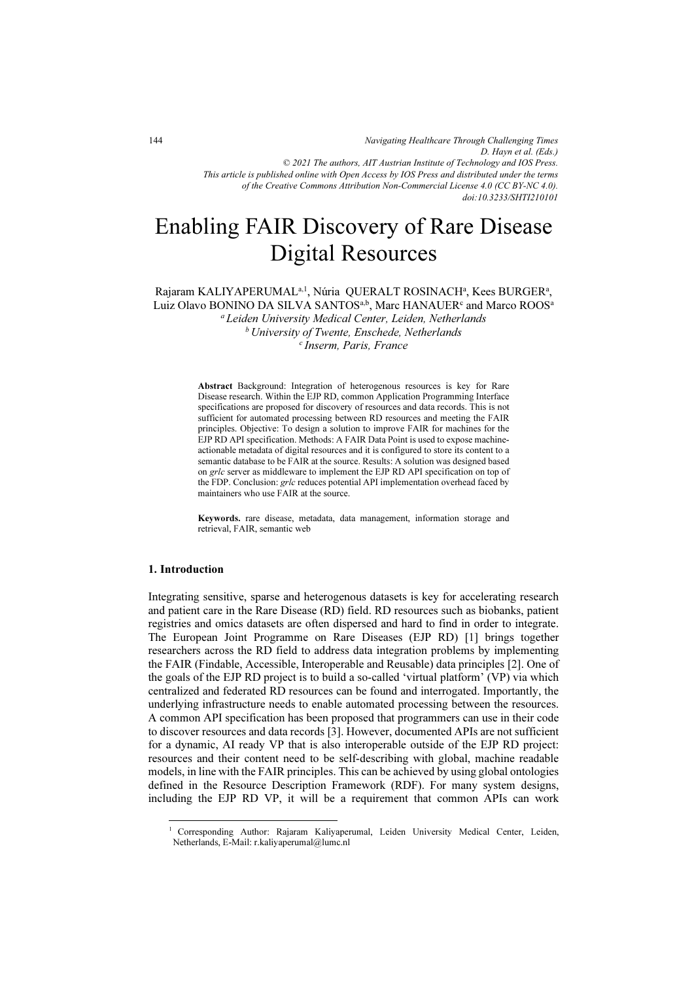*Navigating Healthcare Through Challenging Times D. Hayn et al. (Eds.) © 2021 The authors, AIT Austrian Institute of Technology and IOS Press. This article is published online with Open Access by IOS Press and distributed under the terms of the Creative Commons Attribution Non-Commercial License 4.0 (CC BY-NC 4.0). doi:10.3233/SHTI210101*

# Enabling FAIR Discovery of Rare Disease Digital Resources

Rajaram KALIYAPERUMAL<sup>a, 1</sup>, Núria QUERALT ROSINACH<sup>a</sup>, Kees BURGER<sup>a</sup>, Luiz Olavo BONINO DA SILVA SANTOS<sup>a,b</sup>, Marc HANAUER<sup>c</sup> and Marco ROOS<sup>a</sup> <sup>a</sup> Leiden University Medical Center, Leiden, Netherlands <sup>b</sup> University of Twente, Enschede, Netherlands<br><sup>c</sup>Inserm, Paris, France

> Abstract Background: Integration of heterogenous resources is key for Rare Disease research. Within the EJP RD, common Application Programming Interface specifications are proposed for discovery of resources and data records. This is not sufficient for automated processing between RD resources and meeting the FAIR principles. Objective: To design a solution to improve FAIR for machines for the EJP RD API specification. Methods: A FAIR Data Point is used to expose machineactionable metadata of digital resources and it is configured to store its content to a semantic database to be FAIR at the source. Results: A solution was designed based on grlc server as middleware to implement the EJP RD API specification on top of the FDP. Conclusion: grlc reduces potential API implementation overhead faced by maintainers who use FAIR at the source.

> Keywords. rare disease, metadata, data management, information storage and retrieval, FAIR, semantic web

#### 1. Introduction

Integrating sensitive, sparse and heterogenous datasets is key for accelerating research and patient care in the Rare Disease (RD) field. RD resources such as biobanks, patient registries and omics datasets are often dispersed and hard to find in order to integrate. The European Joint Programme on Rare Diseases (EJP RD) [1] brings together researchers across the RD field to address data integration problems by implementing the FAIR (Findable, Accessible, Interoperable and Reusable) data principles [2]. One of the goals of the EJP RD project is to build a so-called 'virtual platform' (VP) via which centralized and federated RD resources can be found and interrogated. Importantly, the underlying infrastructure needs to enable automated processing between the resources. A common API specification has been proposed that programmers can use in their code to discover resources and data records [3]. However, documented APIs are not sufficient for a dynamic, AI ready VP that is also interoperable outside of the EJP RD project: resources and their content need to be self-describing with global, machine readable models, in line with the FAIR principles. This can be achieved by using global ontologies defined in the Resource Description Framework (RDF). For many system designs, including the EJP RD VP, it will be a requirement that common APIs can work

<sup>1</sup> Corresponding Author: Rajaram Kaliyaperumal, Leiden University Medical Center, Leiden, Netherlands, E-Mail: r.kaliyaperumal@lumc.nl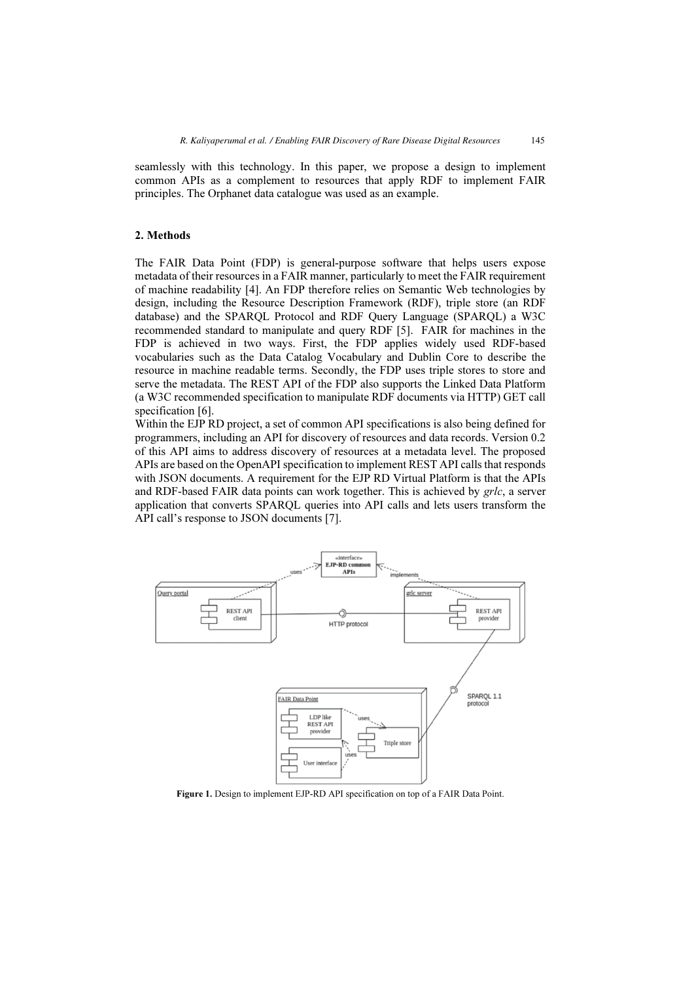seamlessly with this technology. In this paper, we propose a design to implement common APIs as a complement to resources that apply RDF to implement FAIR principles. The Orphanet data catalogue was used as an example.

#### 2. Methods

The FAIR Data Point (FDP) is general-purpose software that helps users expose metadata of their resources in a FAIR manner, particularly to meet the FAIR requirement of machine readability [4]. An FDP therefore relies on Semantic Web technologies by design, including the Resource Description Framework (RDF), triple store (an RDF database) and the SPARQL Protocol and RDF Query Language (SPARQL) a W3C recommended standard to manipulate and query RDF [5]. FAIR for machines in the FDP is achieved in two ways. First, the FDP applies widely used RDF-based vocabularies such as the Data Catalog Vocabulary and Dublin Core to describe the resource in machine readable terms. Secondly, the FDP uses triple stores to store and serve the metadata. The REST API of the FDP also supports the Linked Data Platform (a W3C recommended specification to manipulate RDF documents via HTTP) GET call specification [6].

Within the EJP RD project, a set of common API specifications is also being defined for programmers, including an API for discovery of resources and data records. Version 0.2 of this API aims to address discovery of resources at a metadata level. The proposed APIs are based on the OpenAPI specification to implement REST API calls that responds with JSON documents. A requirement for the EJP RD Virtual Platform is that the APIs and RDF-based FAIR data points can work together. This is achieved by grlc, a server application that converts SPARQL queries into API calls and lets users transform the API call's response to JSON documents [7].



Figure 1. Design to implement EJP-RD API specification on top of a FAIR Data Point.